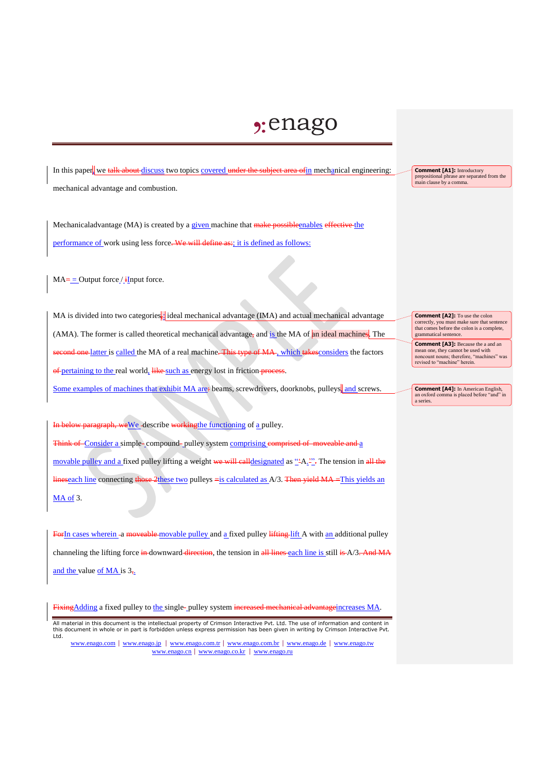## $2:$ enago

In this paper, we talk about discuss two topics covered under the subject area of in mechanical engineering: mechanical advantage and combustion.

Mechanicaladvantage (MA) is created by a given machine that make possibleenables effective the performance of work using less force. We will define as:; it is defined as follows:

 $MA =$  = Output force / iInput force.

MA is divided into two categories, ideal mechanical advantage (IMA) and actual mechanical advantage (AMA). The former is called theoretical mechanical advantage, and is the MA of an ideal machines. The second one latter is called the MA of a real machine. This type of MA, which takes considers the factors of pertaining to the real world, like such as energy lost in friction process.

Some examples of machines that exhibit MA are: beams, screwdrivers, doorknobs, pulleys, and screws.

paragraph, weWe -describe workingthe functioning of a pulley. Think of Consider a simple-compound-pulley system comprising comprised of moveable and a movable pulley and a fixed pulley lifting a weight we will eall designated as "A.<sup>2"</sup>. The tension in all the lineseach line connecting those 2these two pulleys =is calculated as A/3. Then yield MA =This yields an MA of 3.

ForIn cases wherein -a moveable-movable pulley and a fixed pulley lifting lift A with an additional pulley channeling the lifting force in downward direction, the tension in all lines each line is still is A/3. And MA and the value of MA is  $3_{7}$ .

FixingAdding a fixed pulley to the single- pulley system increased mechanical advantage increases MA.

All material in this document is the intellectual property of Crimson Interactive Pvt. Ltd. The use of information and content in this document in whole or in part is forbidden unless express permission has been given in writing by Crimson Interactive Pvt. Ltd.

www.enago.com | www.enago.jp | www.enago.com.tr | www.enago.com.br | www.enago.de | www.enago.tw www.enago.cn | www.enago.co.kr | www.enago.ru

**Comment [A1]:** Introductory prepositional phrase are separated from the main clause by a comma.

**Comment [A2]:** To use the colon correctly, you must make sure that sentence that comes before the colon is a complete, grammatical sentence.

**Comment [A3]:** Because the a and an mean one, they cannot be used with noncount nouns; therefore, "machines" was revised to "machine" herein.

**Comment [A4]:** In American English, an oxford comma is placed before "and" in a series.